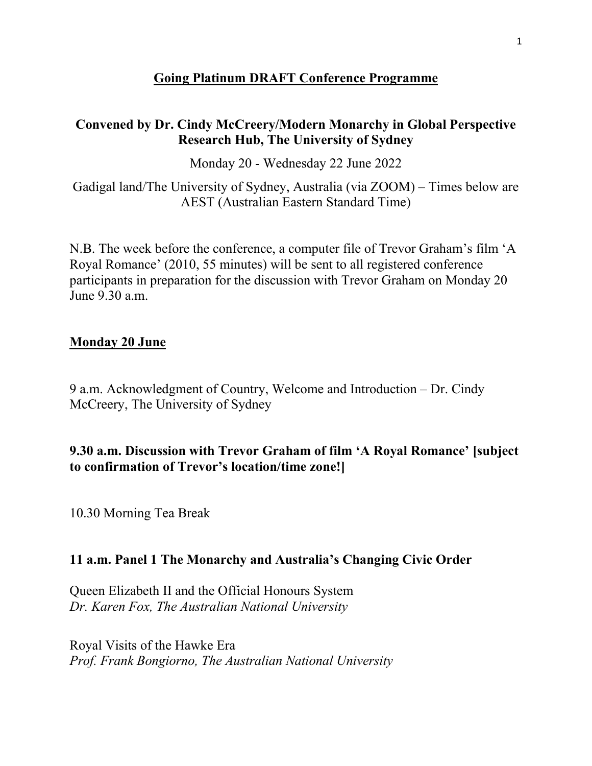## **Going Platinum DRAFT Conference Programme**

### **Convened by Dr. Cindy McCreery/Modern Monarchy in Global Perspective Research Hub, The University of Sydney**

Monday 20 - Wednesday 22 June 2022

Gadigal land/The University of Sydney, Australia (via ZOOM) – Times below are AEST (Australian Eastern Standard Time)

N.B. The week before the conference, a computer file of Trevor Graham's film 'A Royal Romance' (2010, 55 minutes) will be sent to all registered conference participants in preparation for the discussion with Trevor Graham on Monday 20 June 9.30 a.m.

### **Monday 20 June**

9 a.m. Acknowledgment of Country, Welcome and Introduction – Dr. Cindy McCreery, The University of Sydney

## **9.30 a.m. Discussion with Trevor Graham of film 'A Royal Romance' [subject to confirmation of Trevor's location/time zone!]**

10.30 Morning Tea Break

## **11 a.m. Panel 1 The Monarchy and Australia's Changing Civic Order**

Queen Elizabeth II and the Official Honours System *Dr. Karen Fox, The Australian National University* 

Royal Visits of the Hawke Era *Prof. Frank Bongiorno, The Australian National University*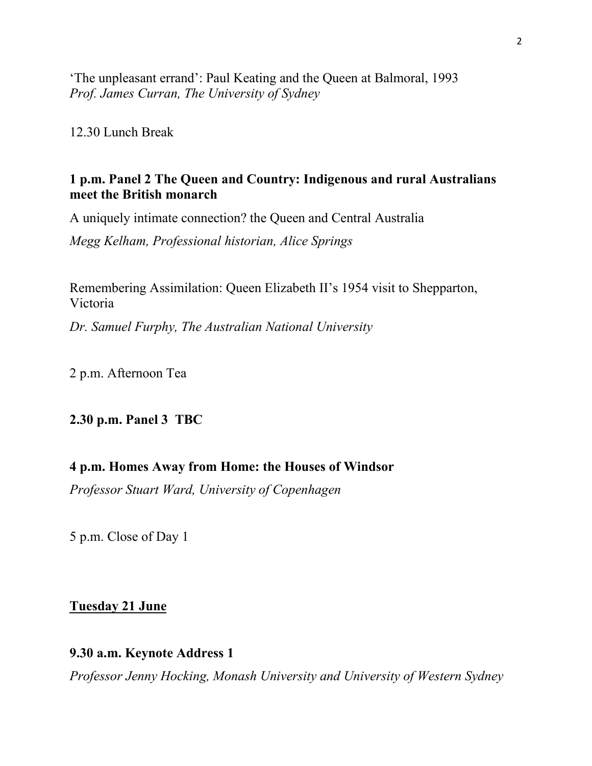'The unpleasant errand': Paul Keating and the Queen at Balmoral, 1993 *Prof. James Curran, The University of Sydney*

12.30 Lunch Break

### **1 p.m. Panel 2 The Queen and Country: Indigenous and rural Australians meet the British monarch**

A uniquely intimate connection? the Queen and Central Australia

*Megg Kelham, Professional historian, Alice Springs*

Remembering Assimilation: Queen Elizabeth II's 1954 visit to Shepparton, Victoria

*Dr. Samuel Furphy, The Australian National University*

2 p.m. Afternoon Tea

#### **2.30 p.m. Panel 3 TBC**

### **4 p.m. Homes Away from Home: the Houses of Windsor**

*Professor Stuart Ward, University of Copenhagen*

5 p.m. Close of Day 1

#### **Tuesday 21 June**

#### **9.30 a.m. Keynote Address 1**

*Professor Jenny Hocking, Monash University and University of Western Sydney*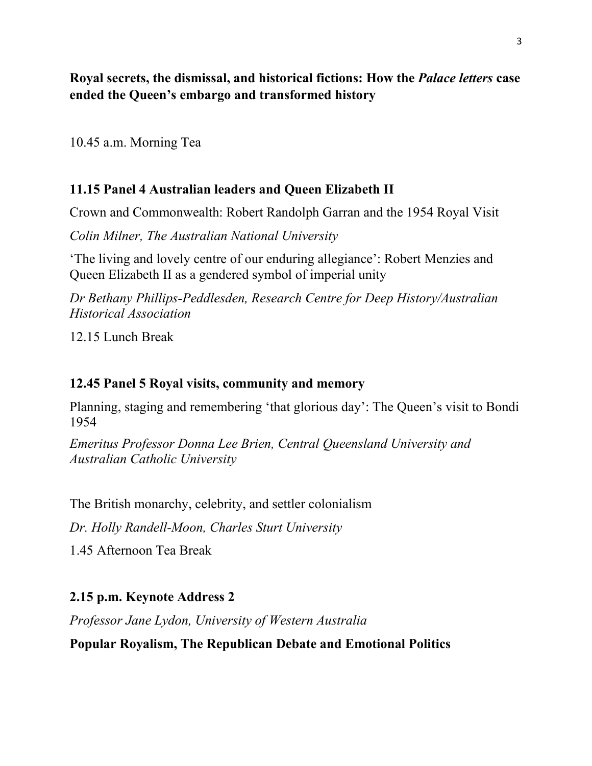**Royal secrets, the dismissal, and historical fictions: How the** *Palace letters* **case ended the Queen's embargo and transformed history**

10.45 a.m. Morning Tea

## **11.15 Panel 4 Australian leaders and Queen Elizabeth II**

Crown and Commonwealth: Robert Randolph Garran and the 1954 Royal Visit

*Colin Milner, The Australian National University*

'The living and lovely centre of our enduring allegiance': Robert Menzies and Queen Elizabeth II as a gendered symbol of imperial unity

*Dr Bethany Phillips-Peddlesden, Research Centre for Deep History/Australian Historical Association*

12.15 Lunch Break

## **12.45 Panel 5 Royal visits, community and memory**

Planning, staging and remembering 'that glorious day': The Queen's visit to Bondi 1954

*Emeritus Professor Donna Lee Brien, Central Queensland University and Australian Catholic University*

The British monarchy, celebrity, and settler colonialism

*Dr. Holly Randell-Moon, Charles Sturt University*

1.45 Afternoon Tea Break

# **2.15 p.m. Keynote Address 2**

*Professor Jane Lydon, University of Western Australia*

## **Popular Royalism, The Republican Debate and Emotional Politics**